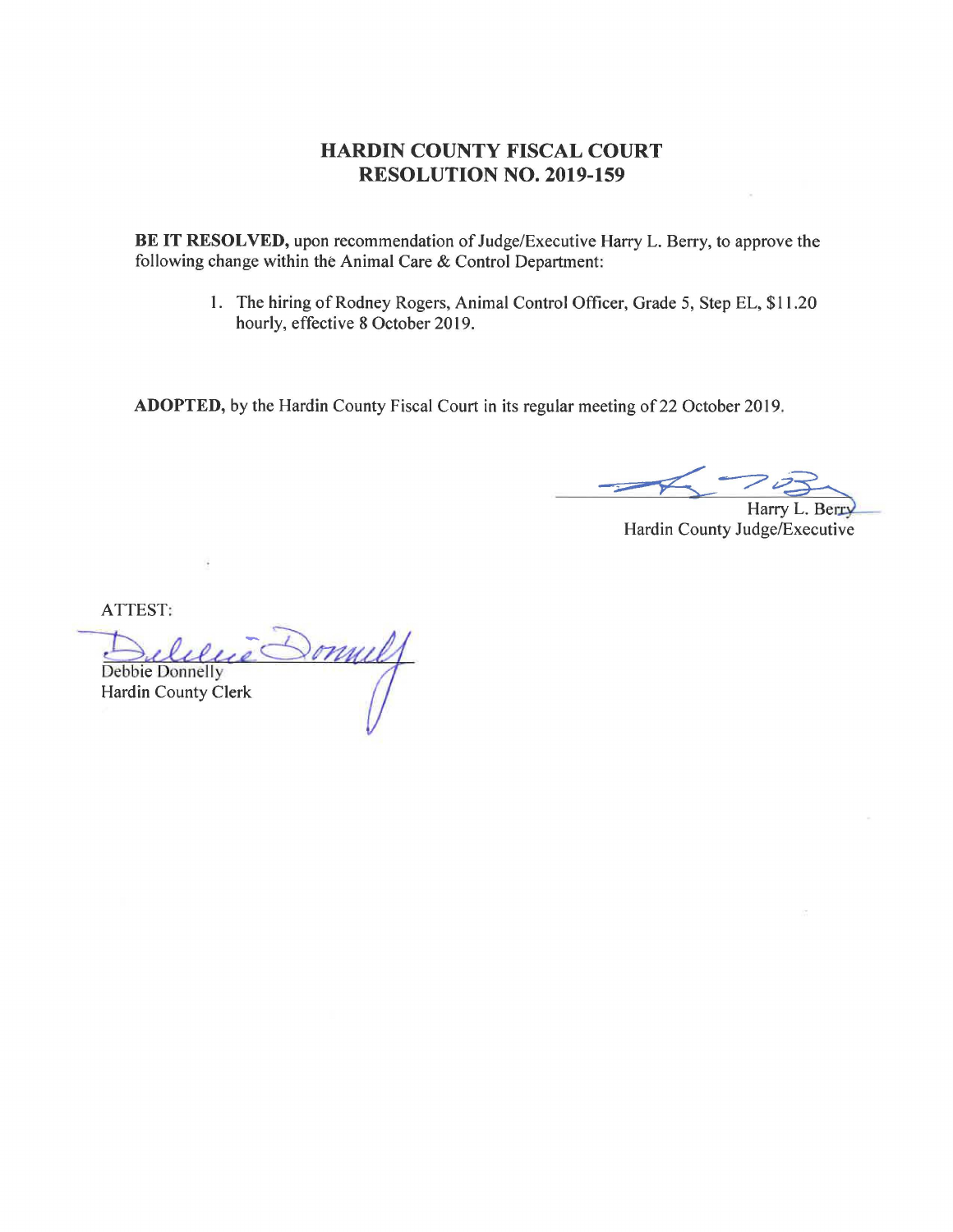**BE IT RESOLVED,** upon recommendation of Judge/Executive Harry L. Berry, to approve the following change within the Animal Care & Control Department:

> I. The hiring of Rodney Rogers, Animal Control Officer, Grade 5, Step EL, \$11.20 hourly, effective 8 October 2019.

ADOPTED, by the Hardin County Fiscal Court in its regular meeting of 22 October 2019.

**--;;;--a** *~-;? .-.?3~*  Harry L. Berry

Hardin County Judge/Executive

onuly Debbie Donnelly Hardin County Clerk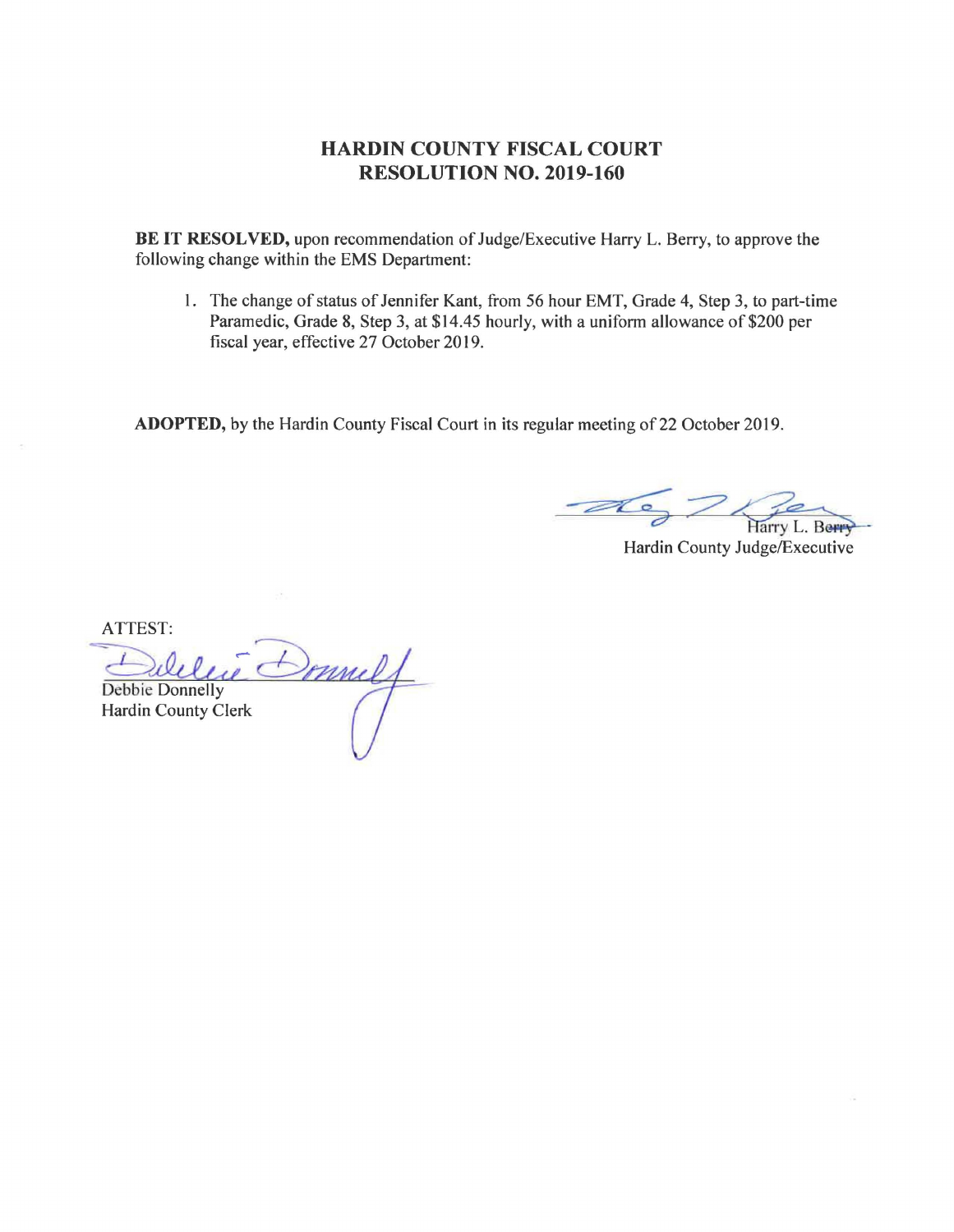**BE IT RESOLVED,** upon recommendation of Judge/Executive Harry L. Berry, to approve the following change within the EMS Department:

I. The change of status of Jennifer Kant, from 56 hour EMT, Grade 4, Step 3, to part-time Paramedic, Grade 8, Step 3, at \$14.45 hourly, with a uniform allowance of \$200 per fiscal year, effective 27 October 2019.

ADOPTED, by the Hardin County Fiscal Court in its regular meeting of 22 October 2019.

Harry L. Berr

Hardin County Judge/Executive

Sonnely Debbie Donnelly Hardin County Clerk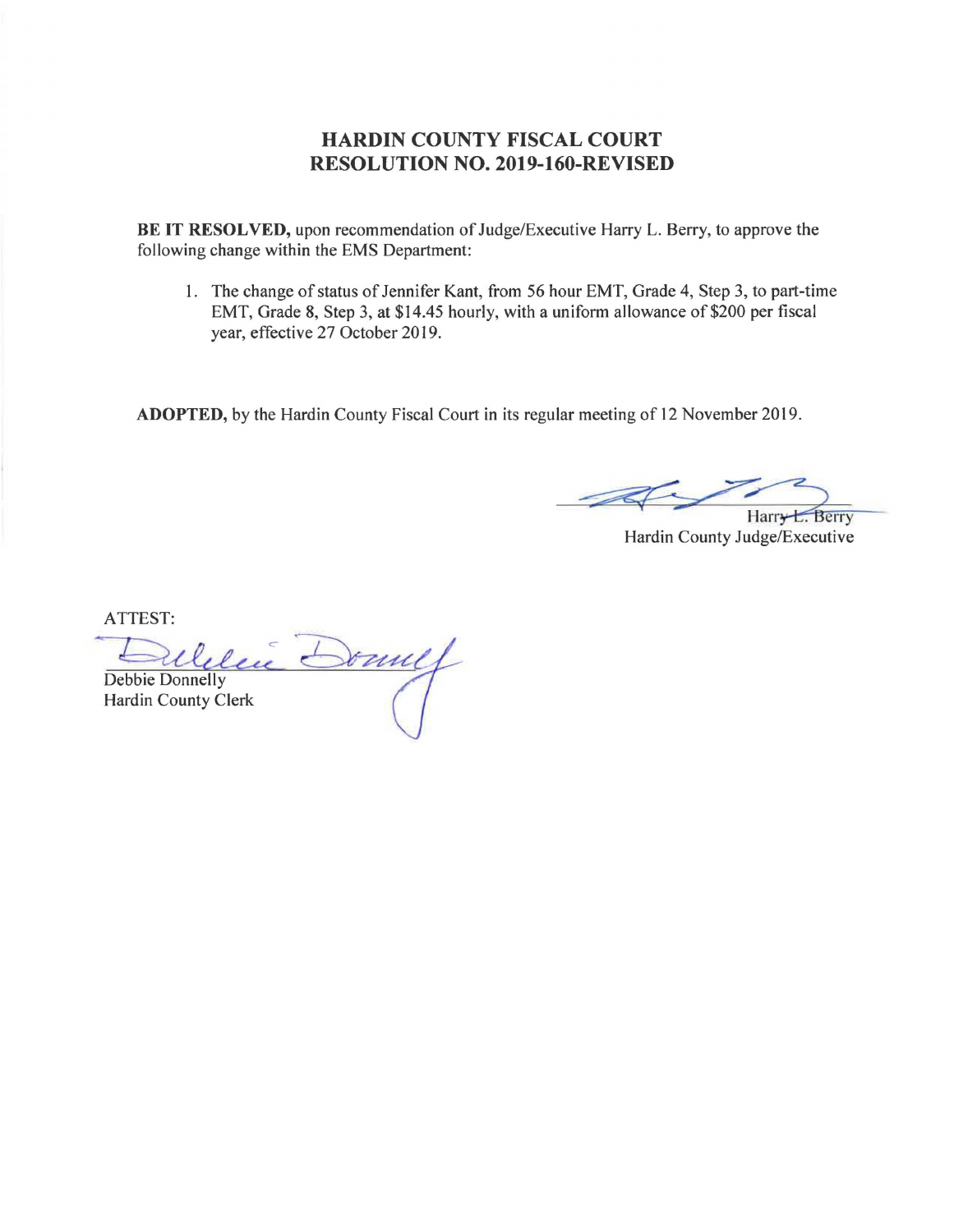#### **HARDIN COUNTY FISCAL COURT RESOLUTION NO. 2019-160-REVISED**

**BE IT RESOLVED,** upon recommendation of Judge/Executive Harry L. Berry, to approve the following change within the EMS Department:

I. The change of status of Jennifer Kant, from 56 hour EMT, Grade 4, Step 3, to part-time EMT, Grade 8, Step 3, at \$14.45 hourly, with a uniform allowance of \$200 per fiscal year, effective 27 October 2019.

**ADOPTED,** by the Hardin County Fiscal Court in its regular meeting of 12 November 2019.

Harr<del>y L.</del> Berry

Hardin County Judge/Executive

 $\rightarrow$   $\rightarrow$ Debbie Donnelly Hardin County Clerk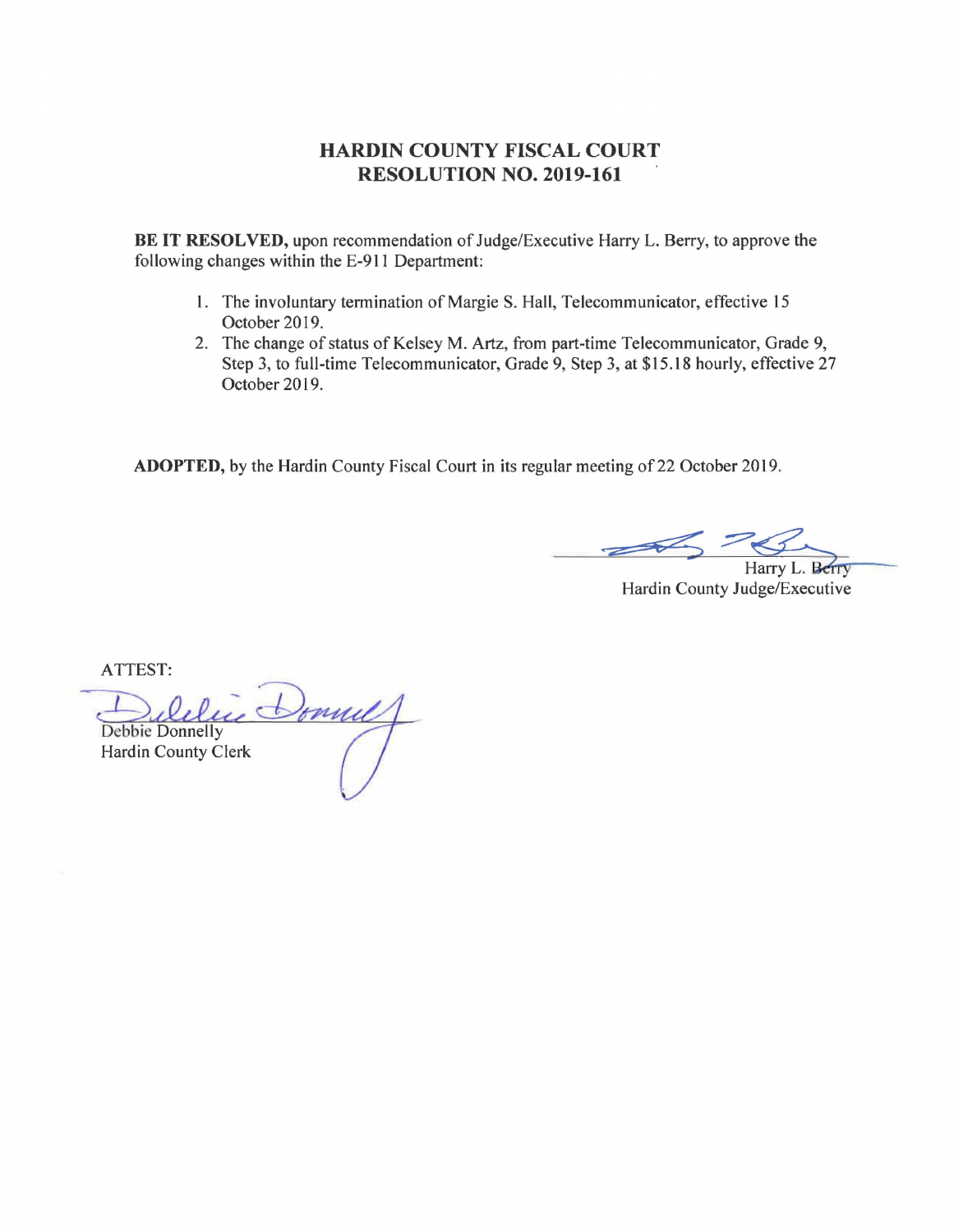**BE IT RESOLVED,** upon recommendation of Judge/Executive Harry L. Berry, to approve the following changes within the E-911 Department:

- 1. The involuntary termination of Margie S. Hall, Telecommunicator, effective 15 October 2019.
- 2. The change of status of Kelsey M. Artz, from part-time Telecommunicator, Grade 9, Step 3, to full-time Telecommunicator, Grade 9, Step 3, at \$15.18 hourly, effective 27 October 2019.

**ADOPTED,** by the Hardin County Fiscal Court in its regular meeting of 22 October 2019.

Harry L. Berry

Hardin County Judge/Executive

Dublic Donnelly Hardin County Clerk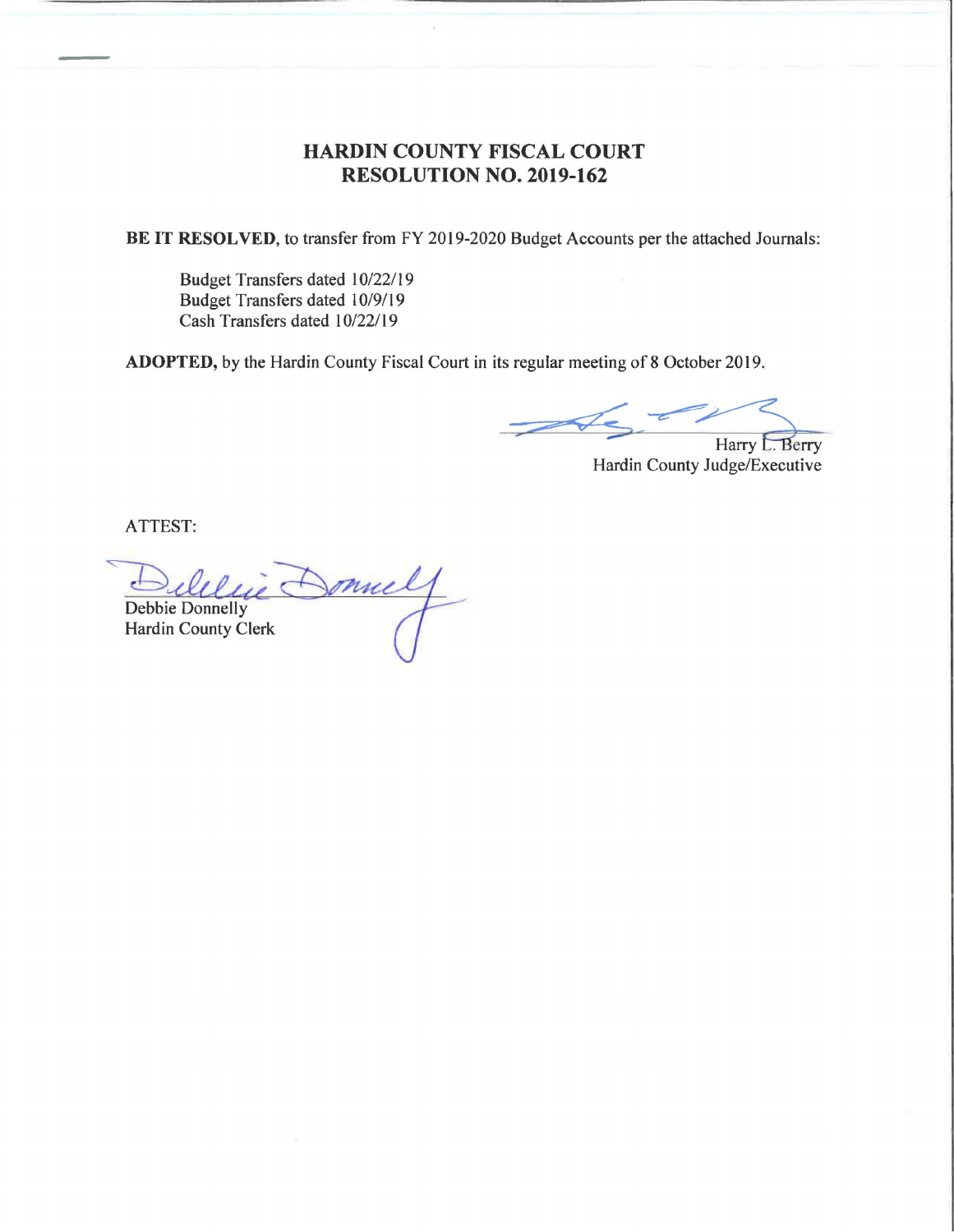**BE IT RESOLVED,** to transfer from FY 2019-2020 Budget Accounts per the attached Journals:

Budget Transfers dated l 0/22/19 Budget Transfers dated l 0/9/19 Cash Transfers dated l 0/22/19

**ADOPTED,** by the Hardin County Fiscal Court in its regular meeting of 8 October 2019.

Harry L. Berry Hardin County Judge/Executive

Delelie Donnel Hardin County Clerk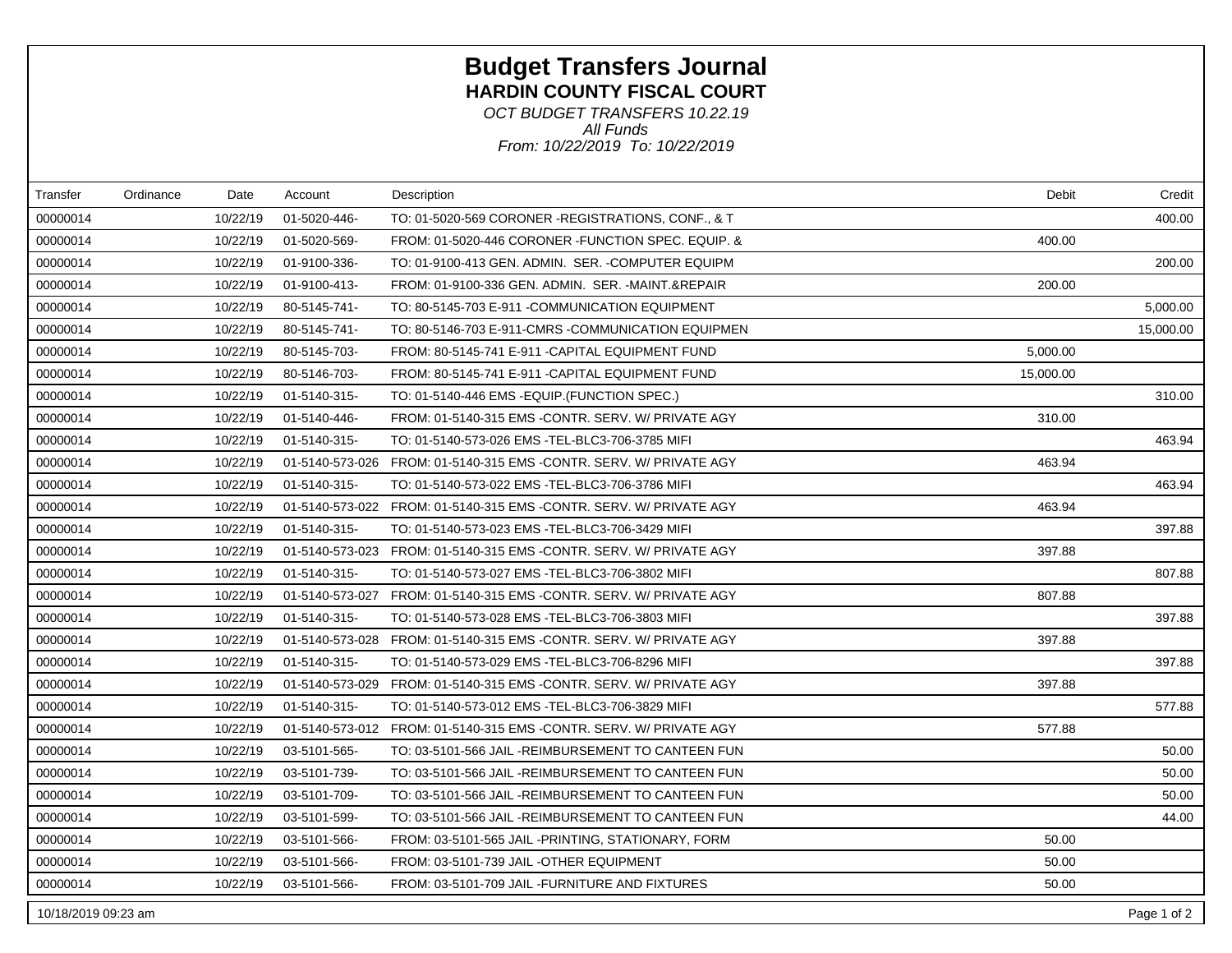# **Budget Transfers Journal HARDIN COUNTY FISCAL COURT**

*From: 10/22/2019 To: 10/22/2019 All Funds OCT BUDGET TRANSFERS 10.22.19*

| Transfer            | Ordinance | Date     | Account      | Description                                                                 | Debit     | Credit      |
|---------------------|-----------|----------|--------------|-----------------------------------------------------------------------------|-----------|-------------|
| 00000014            |           | 10/22/19 | 01-5020-446- | TO: 01-5020-569 CORONER -REGISTRATIONS, CONF., & T                          |           | 400.00      |
| 00000014            |           | 10/22/19 | 01-5020-569- | FROM: 01-5020-446 CORONER - FUNCTION SPEC. EQUIP. &                         | 400.00    |             |
| 00000014            |           | 10/22/19 | 01-9100-336- | TO: 01-9100-413 GEN. ADMIN. SER. -COMPUTER EQUIPM                           |           | 200.00      |
| 00000014            |           | 10/22/19 | 01-9100-413- | FROM: 01-9100-336 GEN. ADMIN. SER. -MAINT.&REPAIR                           | 200.00    |             |
| 00000014            |           | 10/22/19 | 80-5145-741- | TO: 80-5145-703 E-911 - COMMUNICATION EQUIPMENT                             |           | 5,000.00    |
| 00000014            |           | 10/22/19 | 80-5145-741- | TO: 80-5146-703 E-911-CMRS -COMMUNICATION EQUIPMEN                          |           | 15,000.00   |
| 00000014            |           | 10/22/19 | 80-5145-703- | FROM: 80-5145-741 E-911 - CAPITAL EQUIPMENT FUND                            | 5,000.00  |             |
| 00000014            |           | 10/22/19 | 80-5146-703- | FROM: 80-5145-741 E-911 - CAPITAL EQUIPMENT FUND                            | 15,000.00 |             |
| 00000014            |           | 10/22/19 | 01-5140-315- | TO: 01-5140-446 EMS - EQUIP. (FUNCTION SPEC.)                               |           | 310.00      |
| 00000014            |           | 10/22/19 | 01-5140-446- | FROM: 01-5140-315 EMS -CONTR. SERV. W/ PRIVATE AGY                          | 310.00    |             |
| 00000014            |           | 10/22/19 | 01-5140-315- | TO: 01-5140-573-026 EMS - TEL-BLC3-706-3785 MIFI                            |           | 463.94      |
| 00000014            |           | 10/22/19 |              | 01-5140-573-026  FROM: 01-5140-315  EMS -CONTR. SERV. W/ PRIVATE AGY        | 463.94    |             |
| 00000014            |           | 10/22/19 | 01-5140-315- | TO: 01-5140-573-022 EMS - TEL-BLC3-706-3786 MIFI                            |           | 463.94      |
| 00000014            |           | 10/22/19 |              | 01-5140-573-022    FROM: 01-5140-315    EMS -CONTR. SERV. W/    PRIVATE AGY | 463.94    |             |
| 00000014            |           | 10/22/19 | 01-5140-315- | TO: 01-5140-573-023 EMS - TEL-BLC3-706-3429 MIFI                            |           | 397.88      |
| 00000014            |           | 10/22/19 |              | 01-5140-573-023 FROM: 01-5140-315 EMS -CONTR. SERV. W/ PRIVATE AGY          | 397.88    |             |
| 00000014            |           | 10/22/19 | 01-5140-315- | TO: 01-5140-573-027 EMS - TEL-BLC3-706-3802 MIFI                            |           | 807.88      |
| 00000014            |           | 10/22/19 |              |                                                                             | 807.88    |             |
| 00000014            |           | 10/22/19 | 01-5140-315- | TO: 01-5140-573-028 EMS - TEL-BLC3-706-3803 MIFI                            |           | 397.88      |
| 00000014            |           | 10/22/19 |              | 01-5140-573-028 FROM: 01-5140-315 EMS -CONTR. SERV. W/ PRIVATE AGY          | 397.88    |             |
| 00000014            |           | 10/22/19 | 01-5140-315- | TO: 01-5140-573-029 EMS -TEL-BLC3-706-8296 MIFI                             |           | 397.88      |
| 00000014            |           | 10/22/19 |              | 01-5140-573-029 FROM: 01-5140-315 EMS -CONTR. SERV. W/ PRIVATE AGY          | 397.88    |             |
| 00000014            |           | 10/22/19 | 01-5140-315- | TO: 01-5140-573-012 EMS - TEL-BLC3-706-3829 MIFI                            |           | 577.88      |
| 00000014            |           | 10/22/19 |              | 01-5140-573-012 FROM: 01-5140-315 EMS -CONTR. SERV. W/ PRIVATE AGY          | 577.88    |             |
| 00000014            |           | 10/22/19 | 03-5101-565- | TO: 03-5101-566 JAIL -REIMBURSEMENT TO CANTEEN FUN                          |           | 50.00       |
| 00000014            |           | 10/22/19 | 03-5101-739- | TO: 03-5101-566 JAIL -REIMBURSEMENT TO CANTEEN FUN                          |           | 50.00       |
| 00000014            |           | 10/22/19 | 03-5101-709- | TO: 03-5101-566 JAIL -REIMBURSEMENT TO CANTEEN FUN                          |           | 50.00       |
| 00000014            |           | 10/22/19 | 03-5101-599- | TO: 03-5101-566 JAIL -REIMBURSEMENT TO CANTEEN FUN                          |           | 44.00       |
| 00000014            |           | 10/22/19 | 03-5101-566- | FROM: 03-5101-565 JAIL -PRINTING, STATIONARY, FORM                          | 50.00     |             |
| 00000014            |           | 10/22/19 | 03-5101-566- | FROM: 03-5101-739 JAIL -OTHER EQUIPMENT                                     | 50.00     |             |
| 00000014            |           | 10/22/19 | 03-5101-566- | FROM: 03-5101-709 JAIL -FURNITURE AND FIXTURES                              | 50.00     |             |
| 10/18/2019 09:23 am |           |          |              |                                                                             |           | Page 1 of 2 |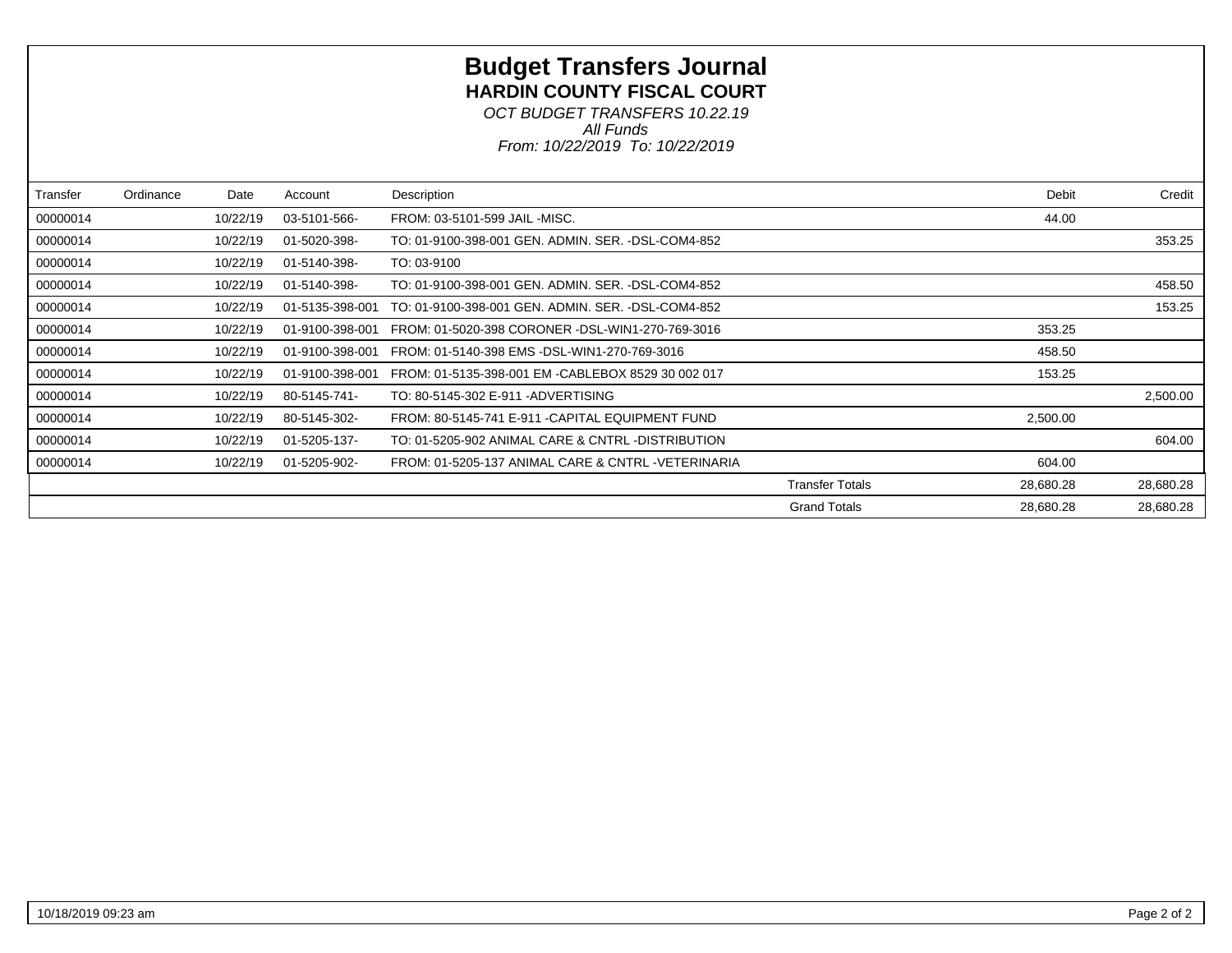# **Budget Transfers Journal HARDIN COUNTY FISCAL COURT**

*From: 10/22/2019 To: 10/22/2019 All Funds OCT BUDGET TRANSFERS 10.22.19*

| Transfer | Ordinance | Date     | Account         | Description                                        |                        | Debit     | Credit    |
|----------|-----------|----------|-----------------|----------------------------------------------------|------------------------|-----------|-----------|
| 00000014 |           | 10/22/19 | 03-5101-566-    | FROM: 03-5101-599 JAIL -MISC.                      |                        | 44.00     |           |
| 00000014 |           | 10/22/19 | 01-5020-398-    | TO: 01-9100-398-001 GEN, ADMIN, SER, -DSL-COM4-852 |                        |           | 353.25    |
| 00000014 |           | 10/22/19 | 01-5140-398-    | TO: 03-9100                                        |                        |           |           |
| 00000014 |           | 10/22/19 | 01-5140-398-    | TO: 01-9100-398-001 GEN, ADMIN, SER, -DSL-COM4-852 |                        |           | 458.50    |
| 00000014 |           | 10/22/19 | 01-5135-398-001 | TO: 01-9100-398-001 GEN, ADMIN, SER, -DSL-COM4-852 |                        |           | 153.25    |
| 00000014 |           | 10/22/19 | 01-9100-398-001 | FROM: 01-5020-398 CORONER -DSL-WIN1-270-769-3016   |                        | 353.25    |           |
| 00000014 |           | 10/22/19 | 01-9100-398-001 | FROM: 01-5140-398 EMS -DSL-WIN1-270-769-3016       |                        | 458.50    |           |
| 00000014 |           | 10/22/19 | 01-9100-398-001 | FROM: 01-5135-398-001 EM -CABLEBOX 8529 30 002 017 |                        | 153.25    |           |
| 00000014 |           | 10/22/19 | 80-5145-741-    | TO: 80-5145-302 E-911 - ADVERTISING                |                        |           | 2,500.00  |
| 00000014 |           | 10/22/19 | 80-5145-302-    | FROM: 80-5145-741 E-911 - CAPITAL EQUIPMENT FUND   |                        | 2,500.00  |           |
| 00000014 |           | 10/22/19 | 01-5205-137-    | TO: 01-5205-902 ANIMAL CARE & CNTRL -DISTRIBUTION  |                        |           | 604.00    |
| 00000014 |           | 10/22/19 | 01-5205-902-    | FROM: 01-5205-137 ANIMAL CARE & CNTRL -VETERINARIA |                        | 604.00    |           |
|          |           |          |                 |                                                    | <b>Transfer Totals</b> | 28,680.28 | 28,680.28 |
|          |           |          |                 |                                                    | <b>Grand Totals</b>    | 28,680.28 | 28,680.28 |
|          |           |          |                 |                                                    |                        |           |           |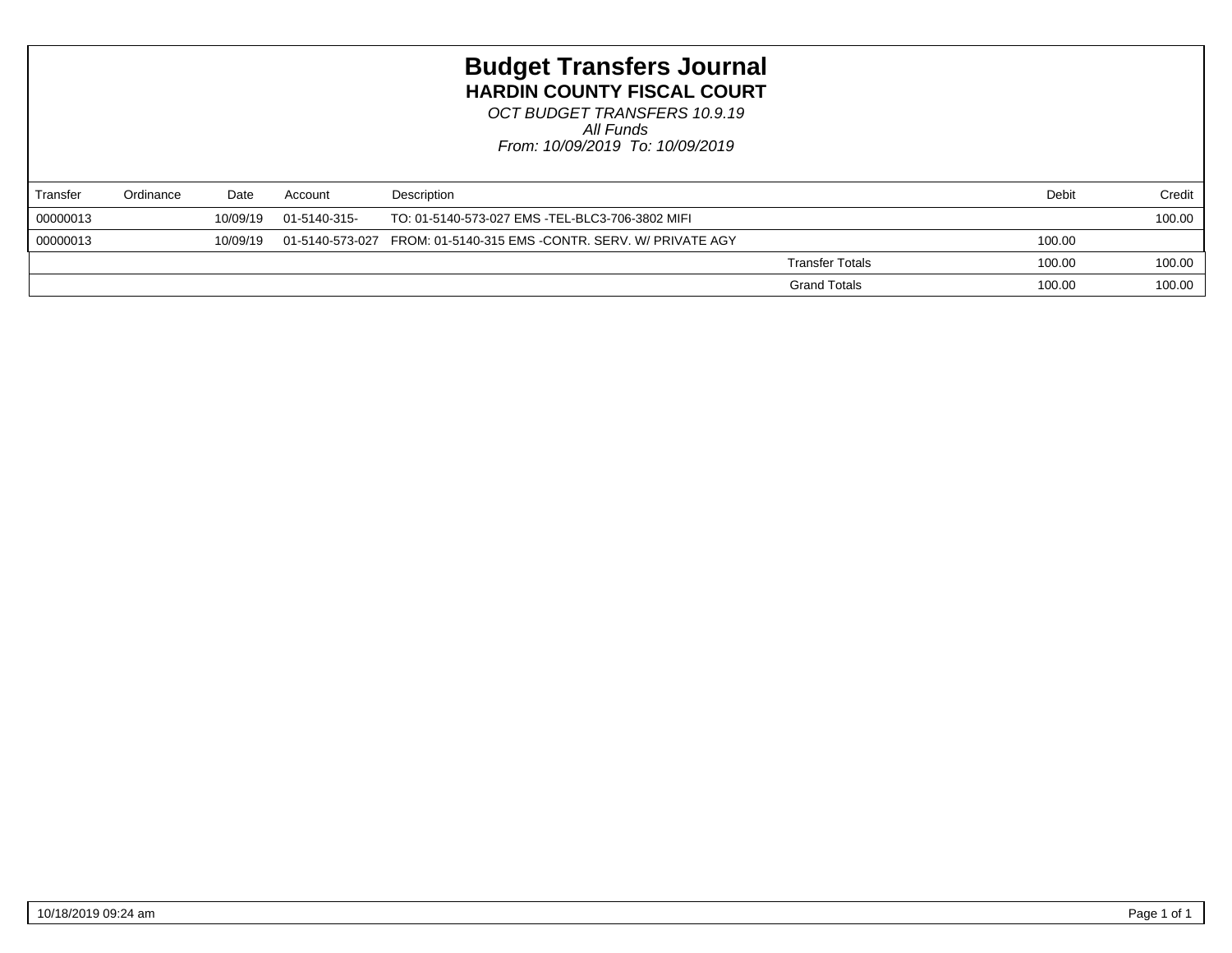## **Budget Transfers Journal HARDIN COUNTY FISCAL COURT**

*From: 10/09/2019 To: 10/09/2019 All Funds OCT BUDGET TRANSFERS 10.9.19*

| Transfer | Ordinance | Date     | Account      | Description                                                                    |                        | Debit  | Credit |
|----------|-----------|----------|--------------|--------------------------------------------------------------------------------|------------------------|--------|--------|
| 00000013 |           | 10/09/19 | 01-5140-315- | TO: 01-5140-573-027 EMS -TEL-BLC3-706-3802 MIFI                                |                        |        | 100.00 |
| 00000013 |           | 10/09/19 |              | 01-5140-573-027    FROM: 01-5140-315    EMS -CONTR. SERV. W/    PRIVATE    AGY |                        | 100.00 |        |
|          |           |          |              |                                                                                | <b>Transfer Totals</b> | 100.00 | 100.00 |
|          |           |          |              |                                                                                | <b>Grand Totals</b>    | 100.00 | 100.00 |